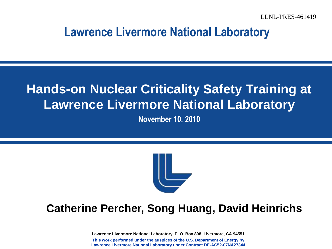#### **Lawrence Livermore National Laboratory**

### **Hands-on Nuclear Criticality Safety Training at Lawrence Livermore National Laboratory**

**November 10, 2010**



#### **Catherine Percher, Song Huang, David Heinrichs**

**Lawrence Livermore National Laboratory, P. O. Box 808, Livermore, CA 94551 This work performed under the auspices of the U.S. Department of Energy by Lawrence Livermore National Laboratory under Contract DE-AC52-07NA27344**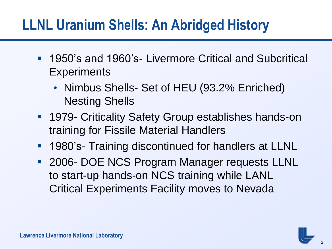## **LLNL Uranium Shells: An Abridged History**

- 1950's and 1960's- Livermore Critical and Subcritical **Experiments** 
	- Nimbus Shells- Set of HEU (93.2% Enriched) Nesting Shells
- **1979- Criticality Safety Group establishes hands-on** training for Fissile Material Handlers
- **1980's- Training discontinued for handlers at LLNL**
- **2006- DOE NCS Program Manager requests LLNL** to start-up hands-on NCS training while LANL Critical Experiments Facility moves to Nevada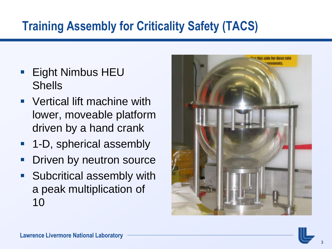### **Training Assembly for Criticality Safety (TACS)**

- Eight Nimbus HEU Shells
- Vertical lift machine with lower, moveable platform driven by a hand crank
- 1-D, spherical assembly
- Driven by neutron source
- **Subcritical assembly with** a peak multiplication of 10

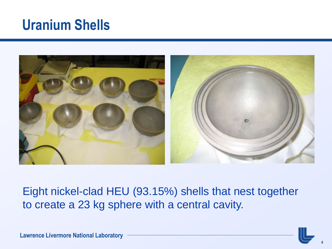## **Uranium Shells**



Eight nickel-clad HEU (93.15%) shells that nest together to create a 23 kg sphere with a central cavity.

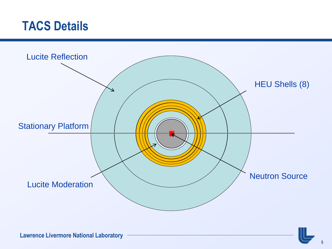### **TACS Details**

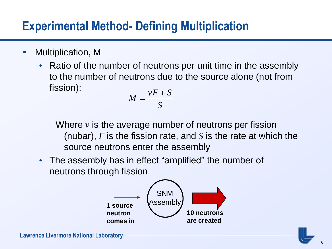### **Experimental Method- Defining Multiplication**

- Multiplication, M
	- Ratio of the number of neutrons per unit time in the assembly to the number of neutrons due to the source alone (not from fission):

$$
M = \frac{vF + S}{S}
$$

Where *v* is the average number of neutrons per fission (nubar), *F* is the fission rate, and *S* is the rate at which the source neutrons enter the assembly

The assembly has in effect "amplified" the number of neutrons through fission

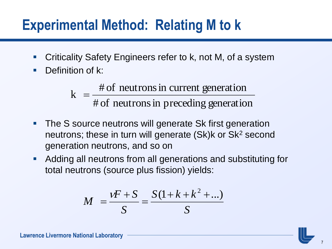## **Experimental Method: Relating M to k**

- Criticality Safety Engineers refer to k, not M, of a system
- **Definition of k:**

# of neutrons in preceding generation  $k = \frac{\text{\# of neutrons in current generation}}{n}$ 

- **The S source neutrons will generate Sk first generation** neutrons; these in turn will generate (Sk)k or Sk<sup>2</sup> second generation neutrons, and so on
- Adding all neutrons from all generations and substituting for total neutrons (source plus fission) yields:

$$
M = \frac{vF + S}{S} = \frac{S(1 + k + k^{2} + ...) }{S}
$$

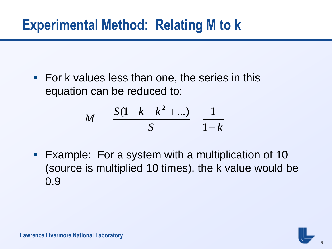## **Experimental Method: Relating M to k**

**For k values less than one, the series in this** equation can be reduced to:

$$
M = \frac{S(1 + k + k^2 + ...)}{S} = \frac{1}{1 - k}
$$

**Example: For a system with a multiplication of 10** (source is multiplied 10 times), the k value would be 0.9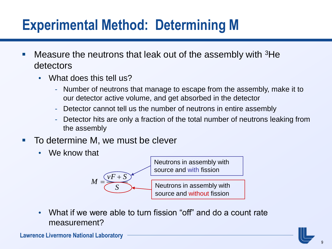# **Experimental Method: Determining M**

- **Measure the neutrons that leak out of the assembly with**  ${}^{3}$ **He** detectors
	- What does this tell us?
		- Number of neutrons that manage to escape from the assembly, make it to our detector active volume, and get absorbed in the detector
		- Detector cannot tell us the number of neutrons in entire assembly
		- Detector hits are only a fraction of the total number of neutrons leaking from the assembly
- To determine M, we must be clever
	- We know that



• What if we were able to turn fission "off" and do a count rate measurement?

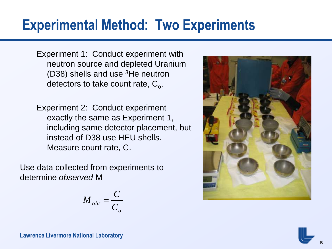## **Experimental Method: Two Experiments**

Experiment 1: Conduct experiment with neutron source and depleted Uranium (D38) shells and use <sup>3</sup>He neutron detectors to take count rate,  $C_{o}$ .

Experiment 2: Conduct experiment exactly the same as Experiment 1, including same detector placement, but instead of D38 use HEU shells. Measure count rate, C.

Use data collected from experiments to determine *observed* M

$$
M_{obs} = \frac{C}{C_o}
$$

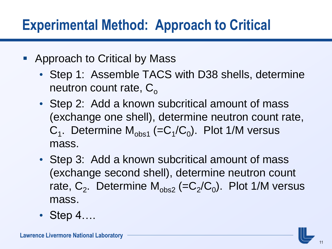## **Experimental Method: Approach to Critical**

- Approach to Critical by Mass
	- Step 1: Assemble TACS with D38 shells, determine neutron count rate,  $C_{\alpha}$
	- Step 2: Add a known subcritical amount of mass (exchange one shell), determine neutron count rate,  $C_1$ . Determine  $M_{obs1}$  (= $C_1/C_0$ ). Plot 1/M versus mass.
	- Step 3: Add a known subcritical amount of mass (exchange second shell), determine neutron count rate,  $C_2$ . Determine  $M_{obs2}$  (= $C_2/C_0$ ). Plot 1/M versus mass.
	- Step 4....

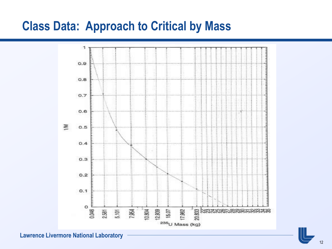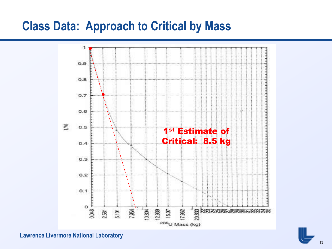

**Lawrence Livermore National Laboratory**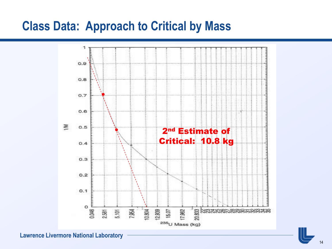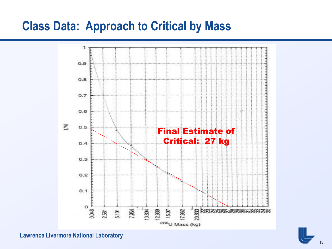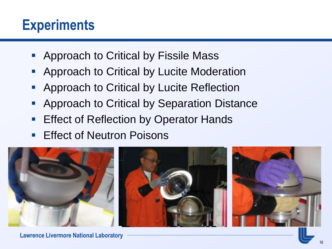## **Experiments**

- **Approach to Critical by Fissile Mass**
- **Approach to Critical by Lucite Moderation**
- **Approach to Critical by Lucite Reflection**
- Approach to Critical by Separation Distance
- Effect of Reflection by Operator Hands
- **Effect of Neutron Poisons**

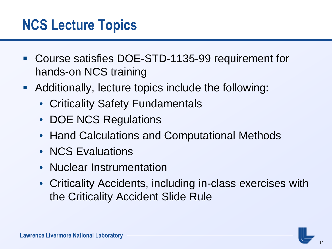## **NCS Lecture Topics**

- Course satisfies DOE-STD-1135-99 requirement for hands-on NCS training
- Additionally, lecture topics include the following:
	- Criticality Safety Fundamentals
	- DOE NCS Regulations
	- Hand Calculations and Computational Methods
	- NCS Evaluations
	- Nuclear Instrumentation
	- Criticality Accidents, including in-class exercises with the Criticality Accident Slide Rule

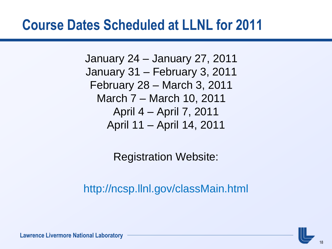## **Course Dates Scheduled at LLNL for 2011**

January 24 – January 27, 2011 January 31 – February 3, 2011 February 28 – March 3, 2011 March 7 – March 10, 2011 April 4 – April 7, 2011 April 11 – April 14, 2011

Registration Website:

http://ncsp.llnl.gov/classMain.html